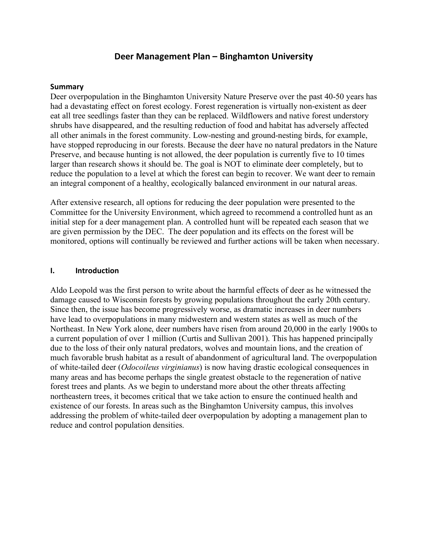# **Deer Management Plan – Binghamton University**

#### **Summary**

Deer overpopulation in the Binghamton University Nature Preserve over the past 40-50 years has had a devastating effect on forest ecology. Forest regeneration is virtually non-existent as deer eat all tree seedlings faster than they can be replaced. Wildflowers and native forest understory shrubs have disappeared, and the resulting reduction of food and habitat has adversely affected all other animals in the forest community. Low-nesting and ground-nesting birds, for example, have stopped reproducing in our forests. Because the deer have no natural predators in the Nature Preserve, and because hunting is not allowed, the deer population is currently five to 10 times larger than research shows it should be. The goal is NOT to eliminate deer completely, but to reduce the population to a level at which the forest can begin to recover. We want deer to remain an integral component of a healthy, ecologically balanced environment in our natural areas.

After extensive research, all options for reducing the deer population were presented to the Committee for the University Environment, which agreed to recommend a controlled hunt as an initial step for a deer management plan. A controlled hunt will be repeated each season that we are given permission by the DEC. The deer population and its effects on the forest will be monitored, options will continually be reviewed and further actions will be taken when necessary.

#### **I. Introduction**

Aldo Leopold was the first person to write about the harmful effects of deer as he witnessed the damage caused to Wisconsin forests by growing populations throughout the early 20th century. Since then, the issue has become progressively worse, as dramatic increases in deer numbers have lead to overpopulations in many midwestern and western states as well as much of the Northeast. In New York alone, deer numbers have risen from around 20,000 in the early 1900s to a current population of over 1 million (Curtis and Sullivan 2001). This has happened principally due to the loss of their only natural predators, wolves and mountain lions, and the creation of much favorable brush habitat as a result of abandonment of agricultural land. The overpopulation of white-tailed deer (*Odocoileus virginianus*) is now having drastic ecological consequences in many areas and has become perhaps the single greatest obstacle to the regeneration of native forest trees and plants. As we begin to understand more about the other threats affecting northeastern trees, it becomes critical that we take action to ensure the continued health and existence of our forests. In areas such as the Binghamton University campus, this involves addressing the problem of white-tailed deer overpopulation by adopting a management plan to reduce and control population densities.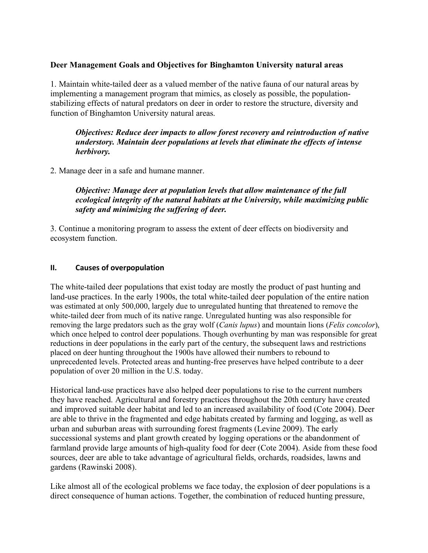# **Deer Management Goals and Objectives for Binghamton University natural areas**

1. Maintain white-tailed deer as a valued member of the native fauna of our natural areas by implementing a management program that mimics, as closely as possible, the populationstabilizing effects of natural predators on deer in order to restore the structure, diversity and function of Binghamton University natural areas.

## *Objectives: Reduce deer impacts to allow forest recovery and reintroduction of native understory. Maintain deer populations at levels that eliminate the effects of intense herbivory.*

2. Manage deer in a safe and humane manner.

# *Objective: Manage deer at population levels that allow maintenance of the full ecological integrity of the natural habitats at the University, while maximizing public safety and minimizing the suffering of deer.*

3. Continue a monitoring program to assess the extent of deer effects on biodiversity and ecosystem function.

#### **II. Causes of overpopulation**

The white-tailed deer populations that exist today are mostly the product of past hunting and land-use practices. In the early 1900s, the total white-tailed deer population of the entire nation was estimated at only 500,000, largely due to unregulated hunting that threatened to remove the white-tailed deer from much of its native range. Unregulated hunting was also responsible for removing the large predators such as the gray wolf (*Canis lupus*) and mountain lions (*Felis concolor*), which once helped to control deer populations. Though overhunting by man was responsible for great reductions in deer populations in the early part of the century, the subsequent laws and restrictions placed on deer hunting throughout the 1900s have allowed their numbers to rebound to unprecedented levels. Protected areas and hunting-free preserves have helped contribute to a deer population of over 20 million in the U.S. today.

Historical land-use practices have also helped deer populations to rise to the current numbers they have reached. Agricultural and forestry practices throughout the 20th century have created and improved suitable deer habitat and led to an increased availability of food (Cote 2004). Deer are able to thrive in the fragmented and edge habitats created by farming and logging, as well as urban and suburban areas with surrounding forest fragments (Levine 2009). The early successional systems and plant growth created by logging operations or the abandonment of farmland provide large amounts of high-quality food for deer (Cote 2004). Aside from these food sources, deer are able to take advantage of agricultural fields, orchards, roadsides, lawns and gardens (Rawinski 2008).

Like almost all of the ecological problems we face today, the explosion of deer populations is a direct consequence of human actions. Together, the combination of reduced hunting pressure,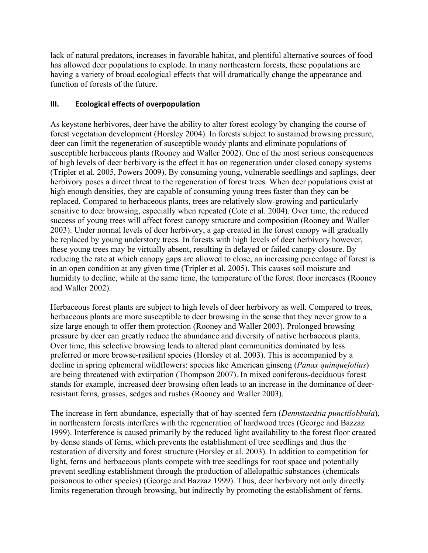lack of natural predators, increases in favorable habitat, and plentiful alternative sources of food has allowed deer populations to explode. In many northeastern forests, these populations are having a variety of broad ecological effects that will dramatically change the appearance and function of forests of the future.

# **III. Ecological effects of overpopulation**

As keystone herbivores, deer have the ability to alter forest ecology by changing the course of forest vegetation development (Horsley 2004). In forests subject to sustained browsing pressure, deer can limit the regeneration of susceptible woody plants and eliminate populations of susceptible herbaceous plants (Rooney and Waller 2002). One of the most serious consequences of high levels of deer herbivory is the effect it has on regeneration under closed canopy systems (Tripler et al. 2005, Powers 2009). By consuming young, vulnerable seedlings and saplings, deer herbivory poses a direct threat to the regeneration of forest trees. When deer populations exist at high enough densities, they are capable of consuming young trees faster than they can be replaced. Compared to herbaceous plants, trees are relatively slow-growing and particularly sensitive to deer browsing, especially when repeated (Cote et al. 2004). Over time, the reduced success of young trees will affect forest canopy structure and composition (Rooney and Waller 2003). Under normal levels of deer herbivory, a gap created in the forest canopy will gradually be replaced by young understory trees. In forests with high levels of deer herbivory however, these young trees may be virtually absent, resulting in delayed or failed canopy closure. By reducing the rate at which canopy gaps are allowed to close, an increasing percentage of forest is in an open condition at any given time (Tripler et al. 2005). This causes soil moisture and humidity to decline, while at the same time, the temperature of the forest floor increases (Rooney and Waller 2002).

Herbaceous forest plants are subject to high levels of deer herbivory as well. Compared to trees, herbaceous plants are more susceptible to deer browsing in the sense that they never grow to a size large enough to offer them protection (Rooney and Waller 2003). Prolonged browsing pressure by deer can greatly reduce the abundance and diversity of native herbaceous plants. Over time, this selective browsing leads to altered plant communities dominated by less preferred or more browse-resilient species (Horsley et al. 2003). This is accompanied by a decline in spring ephemeral wildflowers: species like American ginseng (*Panax quinquefolius*) are being threatened with extirpation (Thompson 2007). In mixed coniferous-deciduous forest stands for example, increased deer browsing often leads to an increase in the dominance of deerresistant ferns, grasses, sedges and rushes (Rooney and Waller 2003).

The increase in fern abundance, especially that of hay-scented fern (*Dennstaedtia punctilobbula*), in northeastern forests interferes with the regeneration of hardwood trees (George and Bazzaz 1999). Interference is caused primarily by the reduced light availability to the forest floor created by dense stands of ferns, which prevents the establishment of tree seedlings and thus the restoration of diversity and forest structure (Horsley et al. 2003). In addition to competition for light, ferns and herbaceous plants compete with tree seedlings for root space and potentially prevent seedling establishment through the production of allelopathic substances (chemicals poisonous to other species) (George and Bazzaz 1999). Thus, deer herbivory not only directly limits regeneration through browsing, but indirectly by promoting the establishment of ferns.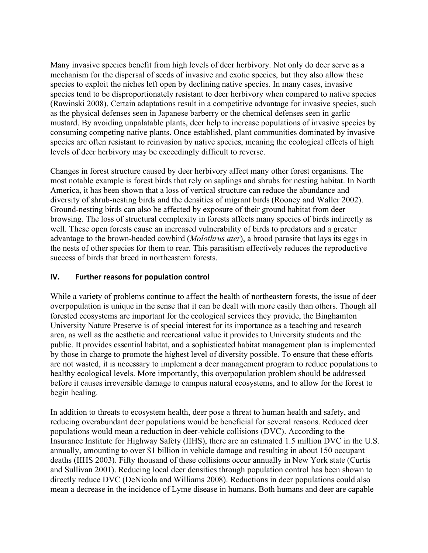Many invasive species benefit from high levels of deer herbivory. Not only do deer serve as a mechanism for the dispersal of seeds of invasive and exotic species, but they also allow these species to exploit the niches left open by declining native species. In many cases, invasive species tend to be disproportionately resistant to deer herbivory when compared to native species (Rawinski 2008). Certain adaptations result in a competitive advantage for invasive species, such as the physical defenses seen in Japanese barberry or the chemical defenses seen in garlic mustard. By avoiding unpalatable plants, deer help to increase populations of invasive species by consuming competing native plants. Once established, plant communities dominated by invasive species are often resistant to reinvasion by native species, meaning the ecological effects of high levels of deer herbivory may be exceedingly difficult to reverse.

Changes in forest structure caused by deer herbivory affect many other forest organisms. The most notable example is forest birds that rely on saplings and shrubs for nesting habitat. In North America, it has been shown that a loss of vertical structure can reduce the abundance and diversity of shrub-nesting birds and the densities of migrant birds (Rooney and Waller 2002). Ground-nesting birds can also be affected by exposure of their ground habitat from deer browsing. The loss of structural complexity in forests affects many species of birds indirectly as well. These open forests cause an increased vulnerability of birds to predators and a greater advantage to the brown-headed cowbird (*Molothrus ater*), a brood parasite that lays its eggs in the nests of other species for them to rear. This parasitism effectively reduces the reproductive success of birds that breed in northeastern forests.

# **IV. Further reasons for population control**

While a variety of problems continue to affect the health of northeastern forests, the issue of deer overpopulation is unique in the sense that it can be dealt with more easily than others. Though all forested ecosystems are important for the ecological services they provide, the Binghamton University Nature Preserve is of special interest for its importance as a teaching and research area, as well as the aesthetic and recreational value it provides to University students and the public. It provides essential habitat, and a sophisticated habitat management plan is implemented by those in charge to promote the highest level of diversity possible. To ensure that these efforts are not wasted, it is necessary to implement a deer management program to reduce populations to healthy ecological levels. More importantly, this overpopulation problem should be addressed before it causes irreversible damage to campus natural ecosystems, and to allow for the forest to begin healing.

In addition to threats to ecosystem health, deer pose a threat to human health and safety, and reducing overabundant deer populations would be beneficial for several reasons. Reduced deer populations would mean a reduction in deer-vehicle collisions (DVC). According to the Insurance Institute for Highway Safety (IIHS), there are an estimated 1.5 million DVC in the U.S. annually, amounting to over \$1 billion in vehicle damage and resulting in about 150 occupant deaths (IIHS 2003). Fifty thousand of these collisions occur annually in New York state (Curtis and Sullivan 2001). Reducing local deer densities through population control has been shown to directly reduce DVC (DeNicola and Williams 2008). Reductions in deer populations could also mean a decrease in the incidence of Lyme disease in humans. Both humans and deer are capable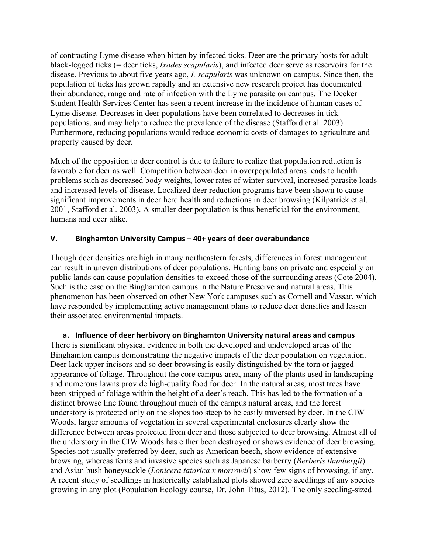of contracting Lyme disease when bitten by infected ticks. Deer are the primary hosts for adult black-legged ticks (= deer ticks, *Ixodes scapularis*), and infected deer serve as reservoirs for the disease. Previous to about five years ago, *I. scapularis* was unknown on campus. Since then, the population of ticks has grown rapidly and an extensive new research project has documented their abundance, range and rate of infection with the Lyme parasite on campus. The Decker Student Health Services Center has seen a recent increase in the incidence of human cases of Lyme disease. Decreases in deer populations have been correlated to decreases in tick populations, and may help to reduce the prevalence of the disease (Stafford et al. 2003). Furthermore, reducing populations would reduce economic costs of damages to agriculture and property caused by deer.

Much of the opposition to deer control is due to failure to realize that population reduction is favorable for deer as well. Competition between deer in overpopulated areas leads to health problems such as decreased body weights, lower rates of winter survival, increased parasite loads and increased levels of disease. Localized deer reduction programs have been shown to cause significant improvements in deer herd health and reductions in deer browsing (Kilpatrick et al. 2001, Stafford et al. 2003). A smaller deer population is thus beneficial for the environment, humans and deer alike.

# **V. Binghamton University Campus – 40+ years of deer overabundance**

Though deer densities are high in many northeastern forests, differences in forest management can result in uneven distributions of deer populations. Hunting bans on private and especially on public lands can cause population densities to exceed those of the surrounding areas (Cote 2004). Such is the case on the Binghamton campus in the Nature Preserve and natural areas. This phenomenon has been observed on other New York campuses such as Cornell and Vassar, which have responded by implementing active management plans to reduce deer densities and lessen their associated environmental impacts.

**a. Influence of deer herbivory on Binghamton University natural areas and campus**  There is significant physical evidence in both the developed and undeveloped areas of the Binghamton campus demonstrating the negative impacts of the deer population on vegetation. Deer lack upper incisors and so deer browsing is easily distinguished by the torn or jagged appearance of foliage. Throughout the core campus area, many of the plants used in landscaping and numerous lawns provide high-quality food for deer. In the natural areas, most trees have been stripped of foliage within the height of a deer's reach. This has led to the formation of a distinct browse line found throughout much of the campus natural areas, and the forest understory is protected only on the slopes too steep to be easily traversed by deer. In the CIW Woods, larger amounts of vegetation in several experimental enclosures clearly show the difference between areas protected from deer and those subjected to deer browsing. Almost all of the understory in the CIW Woods has either been destroyed or shows evidence of deer browsing. Species not usually preferred by deer, such as American beech, show evidence of extensive browsing, whereas ferns and invasive species such as Japanese barberry (*Berberis thunbergii*) and Asian bush honeysuckle (*Lonicera tatarica x morrowii*) show few signs of browsing, if any. A recent study of seedlings in historically established plots showed zero seedlings of any species growing in any plot (Population Ecology course, Dr. John Titus, 2012). The only seedling-sized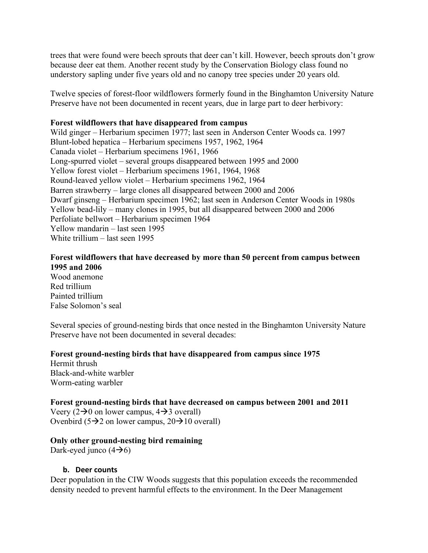trees that were found were beech sprouts that deer can't kill. However, beech sprouts don't grow because deer eat them. Another recent study by the Conservation Biology class found no understory sapling under five years old and no canopy tree species under 20 years old.

Twelve species of forest-floor wildflowers formerly found in the Binghamton University Nature Preserve have not been documented in recent years, due in large part to deer herbivory:

# **Forest wildflowers that have disappeared from campus**

Wild ginger – Herbarium specimen 1977; last seen in Anderson Center Woods ca. 1997 Blunt-lobed hepatica – Herbarium specimens 1957, 1962, 1964 Canada violet – Herbarium specimens 1961, 1966 Long-spurred violet – several groups disappeared between 1995 and 2000 Yellow forest violet – Herbarium specimens 1961, 1964, 1968 Round-leaved yellow violet – Herbarium specimens 1962, 1964 Barren strawberry – large clones all disappeared between 2000 and 2006 Dwarf ginseng – Herbarium specimen 1962; last seen in Anderson Center Woods in 1980s Yellow bead-lily – many clones in 1995, but all disappeared between 2000 and 2006 Perfoliate bellwort – Herbarium specimen 1964 Yellow mandarin – last seen 1995 White trillium – last seen 1995

# **Forest wildflowers that have decreased by more than 50 percent from campus between 1995 and 2006**

Wood anemone Red trillium Painted trillium False Solomon's seal

Several species of ground-nesting birds that once nested in the Binghamton University Nature Preserve have not been documented in several decades:

# **Forest ground-nesting birds that have disappeared from campus since 1975**

Hermit thrush Black-and-white warbler Worm-eating warbler

#### **Forest ground-nesting birds that have decreased on campus between 2001 and 2011**

Veery ( $2\rightarrow 0$  on lower campus,  $4\rightarrow 3$  overall) Ovenbird (5 $\rightarrow$ 2 on lower campus, 20 $\rightarrow$ 10 overall)

#### **Only other ground-nesting bird remaining**

Dark-eyed junco  $(4\rightarrow6)$ 

#### **b. Deer counts**

Deer population in the CIW Woods suggests that this population exceeds the recommended density needed to prevent harmful effects to the environment. In the Deer Management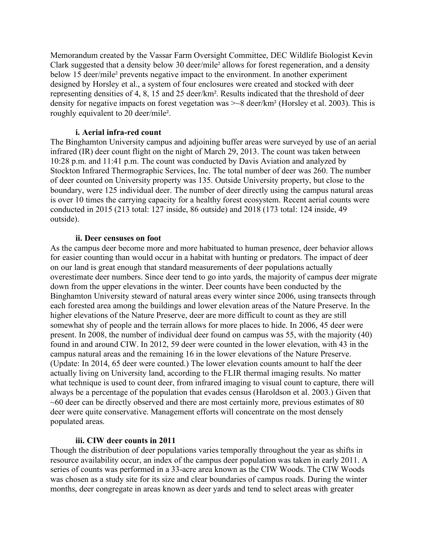Memorandum created by the Vassar Farm Oversight Committee, DEC Wildlife Biologist Kevin Clark suggested that a density below 30 deer/mile² allows for forest regeneration, and a density below 15 deer/mile<sup>2</sup> prevents negative impact to the environment. In another experiment designed by Horsley et al., a system of four enclosures were created and stocked with deer representing densities of 4, 8, 15 and 25 deer/km². Results indicated that the threshold of deer density for negative impacts on forest vegetation was >~8 deer/km² (Horsley et al. 2003). This is roughly equivalent to 20 deer/mile².

#### **i. Aerial infra-red count**

The Binghamton University campus and adjoining buffer areas were surveyed by use of an aerial infrared (IR) deer count flight on the night of March 29, 2013. The count was taken between 10:28 p.m. and 11:41 p.m. The count was conducted by Davis Aviation and analyzed by Stockton Infrared Thermographic Services, Inc. The total number of deer was 260. The number of deer counted on University property was 135. Outside University property, but close to the boundary, were 125 individual deer. The number of deer directly using the campus natural areas is over 10 times the carrying capacity for a healthy forest ecosystem. Recent aerial counts were conducted in 2015 (213 total: 127 inside, 86 outside) and 2018 (173 total: 124 inside, 49 outside).

#### **ii. Deer censuses on foot**

As the campus deer become more and more habituated to human presence, deer behavior allows for easier counting than would occur in a habitat with hunting or predators. The impact of deer on our land is great enough that standard measurements of deer populations actually overestimate deer numbers. Since deer tend to go into yards, the majority of campus deer migrate down from the upper elevations in the winter. Deer counts have been conducted by the Binghamton University steward of natural areas every winter since 2006, using transects through each forested area among the buildings and lower elevation areas of the Nature Preserve. In the higher elevations of the Nature Preserve, deer are more difficult to count as they are still somewhat shy of people and the terrain allows for more places to hide. In 2006, 45 deer were present. In 2008, the number of individual deer found on campus was 55, with the majority (40) found in and around CIW. In 2012, 59 deer were counted in the lower elevation, with 43 in the campus natural areas and the remaining 16 in the lower elevations of the Nature Preserve. (Update: In 2014, 65 deer were counted.) The lower elevation counts amount to half the deer actually living on University land, according to the FLIR thermal imaging results. No matter what technique is used to count deer, from infrared imaging to visual count to capture, there will always be a percentage of the population that evades census (Haroldson et al. 2003.) Given that  $\sim 60$  deer can be directly observed and there are most certainly more, previous estimates of 80 deer were quite conservative. Management efforts will concentrate on the most densely populated areas.

#### **iii. CIW deer counts in 2011**

Though the distribution of deer populations varies temporally throughout the year as shifts in resource availability occur, an index of the campus deer population was taken in early 2011. A series of counts was performed in a 33-acre area known as the CIW Woods. The CIW Woods was chosen as a study site for its size and clear boundaries of campus roads. During the winter months, deer congregate in areas known as deer yards and tend to select areas with greater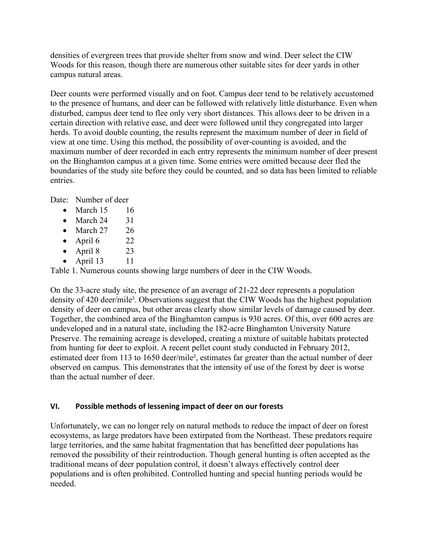densities of evergreen trees that provide shelter from snow and wind. Deer select the CIW Woods for this reason, though there are numerous other suitable sites for deer yards in other campus natural areas.

Deer counts were performed visually and on foot. Campus deer tend to be relatively accustomed to the presence of humans, and deer can be followed with relatively little disturbance. Even when disturbed, campus deer tend to flee only very short distances. This allows deer to be driven in a certain direction with relative ease, and deer were followed until they congregated into larger herds. To avoid double counting, the results represent the maximum number of deer in field of view at one time. Using this method, the possibility of over-counting is avoided, and the maximum number of deer recorded in each entry represents the minimum number of deer present on the Binghamton campus at a given time. Some entries were omitted because deer fled the boundaries of the study site before they could be counted, and so data has been limited to reliable entries.

Date: Number of deer

- March  $15$  16
- March  $24$  31
- March  $27 \times 26$
- April 6  $22$
- April 8  $23$
- April  $13 \t 11$

Table 1. Numerous counts showing large numbers of deer in the CIW Woods.

On the 33-acre study site, the presence of an average of 21-22 deer represents a population density of 420 deer/mile². Observations suggest that the CIW Woods has the highest population density of deer on campus, but other areas clearly show similar levels of damage caused by deer. Together, the combined area of the Binghamton campus is 930 acres. Of this, over 600 acres are undeveloped and in a natural state, including the 182-acre Binghamton University Nature Preserve. The remaining acreage is developed, creating a mixture of suitable habitats protected from hunting for deer to exploit. A recent pellet count study conducted in February 2012, estimated deer from 113 to 1650 deer/mile², estimates far greater than the actual number of deer observed on campus. This demonstrates that the intensity of use of the forest by deer is worse than the actual number of deer.

# **VI. Possible methods of lessening impact of deer on our forests**

Unfortunately, we can no longer rely on natural methods to reduce the impact of deer on forest ecosystems, as large predators have been extirpated from the Northeast. These predators require large territories, and the same habitat fragmentation that has benefitted deer populations has removed the possibility of their reintroduction. Though general hunting is often accepted as the traditional means of deer population control, it doesn't always effectively control deer populations and is often prohibited. Controlled hunting and special hunting periods would be needed.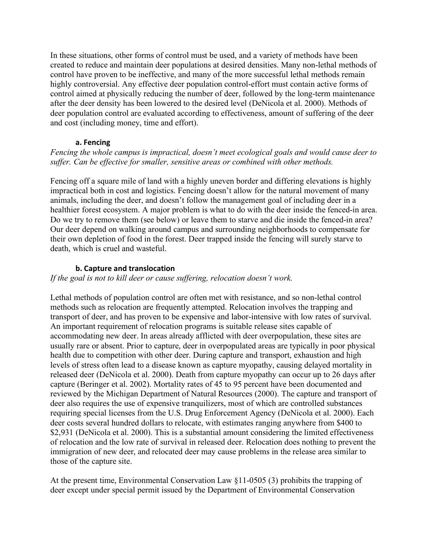In these situations, other forms of control must be used, and a variety of methods have been created to reduce and maintain deer populations at desired densities. Many non-lethal methods of control have proven to be ineffective, and many of the more successful lethal methods remain highly controversial. Any effective deer population control-effort must contain active forms of control aimed at physically reducing the number of deer, followed by the long-term maintenance after the deer density has been lowered to the desired level (DeNicola et al. 2000). Methods of deer population control are evaluated according to effectiveness, amount of suffering of the deer and cost (including money, time and effort).

## **a. Fencing**

## *Fencing the whole campus is impractical, doesn't meet ecological goals and would cause deer to suffer. Can be effective for smaller, sensitive areas or combined with other methods.*

Fencing off a square mile of land with a highly uneven border and differing elevations is highly impractical both in cost and logistics. Fencing doesn't allow for the natural movement of many animals, including the deer, and doesn't follow the management goal of including deer in a healthier forest ecosystem. A major problem is what to do with the deer inside the fenced-in area. Do we try to remove them (see below) or leave them to starve and die inside the fenced-in area? Our deer depend on walking around campus and surrounding neighborhoods to compensate for their own depletion of food in the forest. Deer trapped inside the fencing will surely starve to death, which is cruel and wasteful.

## **b. Capture and translocation**

*If the goal is not to kill deer or cause suffering, relocation doesn't work.*

Lethal methods of population control are often met with resistance, and so non-lethal control methods such as relocation are frequently attempted. Relocation involves the trapping and transport of deer, and has proven to be expensive and labor-intensive with low rates of survival. An important requirement of relocation programs is suitable release sites capable of accommodating new deer. In areas already afflicted with deer overpopulation, these sites are usually rare or absent. Prior to capture, deer in overpopulated areas are typically in poor physical health due to competition with other deer. During capture and transport, exhaustion and high levels of stress often lead to a disease known as capture myopathy, causing delayed mortality in released deer (DeNicola et al. 2000). Death from capture myopathy can occur up to 26 days after capture (Beringer et al. 2002). Mortality rates of 45 to 95 percent have been documented and reviewed by the Michigan Department of Natural Resources (2000). The capture and transport of deer also requires the use of expensive tranquilizers, most of which are controlled substances requiring special licenses from the U.S. Drug Enforcement Agency (DeNicola et al. 2000). Each deer costs several hundred dollars to relocate, with estimates ranging anywhere from \$400 to \$2,931 (DeNicola et al. 2000). This is a substantial amount considering the limited effectiveness of relocation and the low rate of survival in released deer. Relocation does nothing to prevent the immigration of new deer, and relocated deer may cause problems in the release area similar to those of the capture site.

At the present time, Environmental Conservation Law §11-0505 (3) prohibits the trapping of deer except under special permit issued by the Department of Environmental Conservation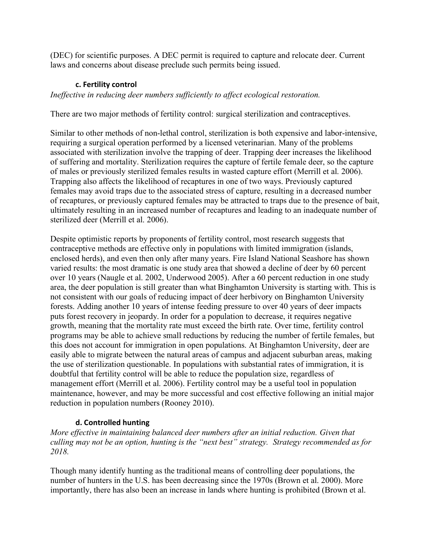(DEC) for scientific purposes. A DEC permit is required to capture and relocate deer. Current laws and concerns about disease preclude such permits being issued.

# **c. Fertility control**

*Ineffective in reducing deer numbers sufficiently to affect ecological restoration.*

There are two major methods of fertility control: surgical sterilization and contraceptives.

Similar to other methods of non-lethal control, sterilization is both expensive and labor-intensive, requiring a surgical operation performed by a licensed veterinarian. Many of the problems associated with sterilization involve the trapping of deer. Trapping deer increases the likelihood of suffering and mortality. Sterilization requires the capture of fertile female deer, so the capture of males or previously sterilized females results in wasted capture effort (Merrill et al. 2006). Trapping also affects the likelihood of recaptures in one of two ways. Previously captured females may avoid traps due to the associated stress of capture, resulting in a decreased number of recaptures, or previously captured females may be attracted to traps due to the presence of bait, ultimately resulting in an increased number of recaptures and leading to an inadequate number of sterilized deer (Merrill et al. 2006).

Despite optimistic reports by proponents of fertility control, most research suggests that contraceptive methods are effective only in populations with limited immigration (islands, enclosed herds), and even then only after many years. Fire Island National Seashore has shown varied results: the most dramatic is one study area that showed a decline of deer by 60 percent over 10 years (Naugle et al. 2002, Underwood 2005). After a 60 percent reduction in one study area, the deer population is still greater than what Binghamton University is starting with. This is not consistent with our goals of reducing impact of deer herbivory on Binghamton University forests. Adding another 10 years of intense feeding pressure to over 40 years of deer impacts puts forest recovery in jeopardy. In order for a population to decrease, it requires negative growth, meaning that the mortality rate must exceed the birth rate. Over time, fertility control programs may be able to achieve small reductions by reducing the number of fertile females, but this does not account for immigration in open populations. At Binghamton University, deer are easily able to migrate between the natural areas of campus and adjacent suburban areas, making the use of sterilization questionable. In populations with substantial rates of immigration, it is doubtful that fertility control will be able to reduce the population size, regardless of management effort (Merrill et al. 2006). Fertility control may be a useful tool in population maintenance, however, and may be more successful and cost effective following an initial major reduction in population numbers (Rooney 2010).

# **d. Controlled hunting**

*More effective in maintaining balanced deer numbers after an initial reduction. Given that culling may not be an option, hunting is the "next best" strategy. Strategy recommended as for 2018.* 

Though many identify hunting as the traditional means of controlling deer populations, the number of hunters in the U.S. has been decreasing since the 1970s (Brown et al. 2000). More importantly, there has also been an increase in lands where hunting is prohibited (Brown et al.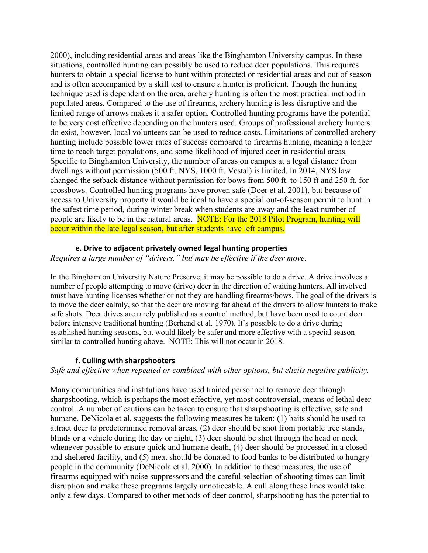2000), including residential areas and areas like the Binghamton University campus. In these situations, controlled hunting can possibly be used to reduce deer populations. This requires hunters to obtain a special license to hunt within protected or residential areas and out of season and is often accompanied by a skill test to ensure a hunter is proficient. Though the hunting technique used is dependent on the area, archery hunting is often the most practical method in populated areas. Compared to the use of firearms, archery hunting is less disruptive and the limited range of arrows makes it a safer option. Controlled hunting programs have the potential to be very cost effective depending on the hunters used. Groups of professional archery hunters do exist, however, local volunteers can be used to reduce costs. Limitations of controlled archery hunting include possible lower rates of success compared to firearms hunting, meaning a longer time to reach target populations, and some likelihood of injured deer in residential areas. Specific to Binghamton University, the number of areas on campus at a legal distance from dwellings without permission (500 ft. NYS, 1000 ft. Vestal) is limited. In 2014, NYS law changed the setback distance without permission for bows from 500 ft. to 150 ft and 250 ft. for crossbows. Controlled hunting programs have proven safe (Doer et al. 2001), but because of access to University property it would be ideal to have a special out-of-season permit to hunt in the safest time period, during winter break when students are away and the least number of people are likely to be in the natural areas. NOTE: For the 2018 Pilot Program, hunting will occur within the late legal season, but after students have left campus.

#### **e. Drive to adjacent privately owned legal hunting properties**

*Requires a large number of "drivers," but may be effective if the deer move.*

In the Binghamton University Nature Preserve, it may be possible to do a drive. A drive involves a number of people attempting to move (drive) deer in the direction of waiting hunters. All involved must have hunting licenses whether or not they are handling firearms/bows. The goal of the drivers is to move the deer calmly, so that the deer are moving far ahead of the drivers to allow hunters to make safe shots. Deer drives are rarely published as a control method, but have been used to count deer before intensive traditional hunting (Berhend et al. 1970). It's possible to do a drive during established hunting seasons, but would likely be safer and more effective with a special season similar to controlled hunting above. NOTE: This will not occur in 2018.

#### **f. Culling with sharpshooters**

*Safe and effective when repeated or combined with other options, but elicits negative publicity.*

Many communities and institutions have used trained personnel to remove deer through sharpshooting, which is perhaps the most effective, yet most controversial, means of lethal deer control. A number of cautions can be taken to ensure that sharpshooting is effective, safe and humane. DeNicola et al. suggests the following measures be taken: (1) baits should be used to attract deer to predetermined removal areas, (2) deer should be shot from portable tree stands, blinds or a vehicle during the day or night, (3) deer should be shot through the head or neck whenever possible to ensure quick and humane death, (4) deer should be processed in a closed and sheltered facility, and (5) meat should be donated to food banks to be distributed to hungry people in the community (DeNicola et al. 2000). In addition to these measures, the use of firearms equipped with noise suppressors and the careful selection of shooting times can limit disruption and make these programs largely unnoticeable. A cull along these lines would take only a few days. Compared to other methods of deer control, sharpshooting has the potential to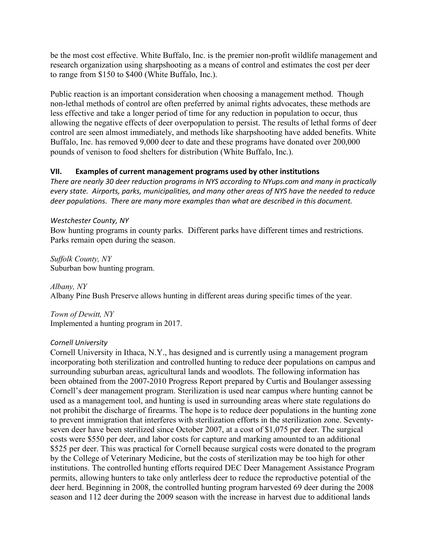be the most cost effective. White Buffalo, Inc. is the premier non-profit wildlife management and research organization using sharpshooting as a means of control and estimates the cost per deer to range from \$150 to \$400 (White Buffalo, Inc.).

Public reaction is an important consideration when choosing a management method. Though non-lethal methods of control are often preferred by animal rights advocates, these methods are less effective and take a longer period of time for any reduction in population to occur, thus allowing the negative effects of deer overpopulation to persist. The results of lethal forms of deer control are seen almost immediately, and methods like sharpshooting have added benefits. White Buffalo, Inc. has removed 9,000 deer to date and these programs have donated over 200,000 pounds of venison to food shelters for distribution (White Buffalo, Inc.).

## **VII. Examples of current management programs used by other institutions**

*There are nearly 30 deer reduction programs in NYS according to NYups.com and many in practically every state. Airports, parks, municipalities, and many other areas of NYS have the needed to reduce deer populations. There are many more examples than what are described in this document.* 

#### *Westchester County, NY*

Bow hunting programs in county parks. Different parks have different times and restrictions. Parks remain open during the season.

*Suffolk County, NY* Suburban bow hunting program.

*Albany, NY* Albany Pine Bush Preserve allows hunting in different areas during specific times of the year.

*Town of Dewitt, NY* Implemented a hunting program in 2017.

#### *Cornell University*

Cornell University in Ithaca, N.Y., has designed and is currently using a management program incorporating both sterilization and controlled hunting to reduce deer populations on campus and surrounding suburban areas, agricultural lands and woodlots. The following information has been obtained from the 2007-2010 Progress Report prepared by Curtis and Boulanger assessing Cornell's deer management program. Sterilization is used near campus where hunting cannot be used as a management tool, and hunting is used in surrounding areas where state regulations do not prohibit the discharge of firearms. The hope is to reduce deer populations in the hunting zone to prevent immigration that interferes with sterilization efforts in the sterilization zone. Seventyseven deer have been sterilized since October 2007, at a cost of \$1,075 per deer. The surgical costs were \$550 per deer, and labor costs for capture and marking amounted to an additional \$525 per deer. This was practical for Cornell because surgical costs were donated to the program by the College of Veterinary Medicine, but the costs of sterilization may be too high for other institutions. The controlled hunting efforts required DEC Deer Management Assistance Program permits, allowing hunters to take only antlerless deer to reduce the reproductive potential of the deer herd. Beginning in 2008, the controlled hunting program harvested 69 deer during the 2008 season and 112 deer during the 2009 season with the increase in harvest due to additional lands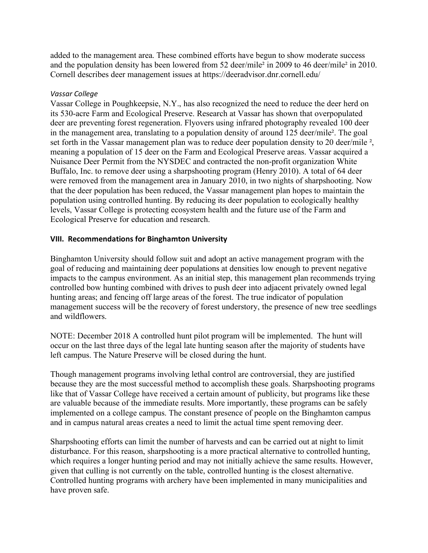added to the management area. These combined efforts have begun to show moderate success and the population density has been lowered from 52 deer/mile² in 2009 to 46 deer/mile² in 2010. Cornell describes deer management issues at https://deeradvisor.dnr.cornell.edu/

## *Vassar College*

Vassar College in Poughkeepsie, N.Y., has also recognized the need to reduce the deer herd on its 530-acre Farm and Ecological Preserve. Research at Vassar has shown that overpopulated deer are preventing forest regeneration. Flyovers using infrared photography revealed 100 deer in the management area, translating to a population density of around 125 deer/mile². The goal set forth in the Vassar management plan was to reduce deer population density to 20 deer/mile <sup>2</sup>, meaning a population of 15 deer on the Farm and Ecological Preserve areas. Vassar acquired a Nuisance Deer Permit from the NYSDEC and contracted the non-profit organization White Buffalo, Inc. to remove deer using a sharpshooting program (Henry 2010). A total of 64 deer were removed from the management area in January 2010, in two nights of sharpshooting. Now that the deer population has been reduced, the Vassar management plan hopes to maintain the population using controlled hunting. By reducing its deer population to ecologically healthy levels, Vassar College is protecting ecosystem health and the future use of the Farm and Ecological Preserve for education and research.

## **VIII. Recommendations for Binghamton University**

Binghamton University should follow suit and adopt an active management program with the goal of reducing and maintaining deer populations at densities low enough to prevent negative impacts to the campus environment. As an initial step, this management plan recommends trying controlled bow hunting combined with drives to push deer into adjacent privately owned legal hunting areas; and fencing off large areas of the forest. The true indicator of population management success will be the recovery of forest understory, the presence of new tree seedlings and wildflowers.

NOTE: December 2018 A controlled hunt pilot program will be implemented. The hunt will occur on the last three days of the legal late hunting season after the majority of students have left campus. The Nature Preserve will be closed during the hunt.

Though management programs involving lethal control are controversial, they are justified because they are the most successful method to accomplish these goals. Sharpshooting programs like that of Vassar College have received a certain amount of publicity, but programs like these are valuable because of the immediate results. More importantly, these programs can be safely implemented on a college campus. The constant presence of people on the Binghamton campus and in campus natural areas creates a need to limit the actual time spent removing deer.

Sharpshooting efforts can limit the number of harvests and can be carried out at night to limit disturbance. For this reason, sharpshooting is a more practical alternative to controlled hunting, which requires a longer hunting period and may not initially achieve the same results. However, given that culling is not currently on the table, controlled hunting is the closest alternative. Controlled hunting programs with archery have been implemented in many municipalities and have proven safe.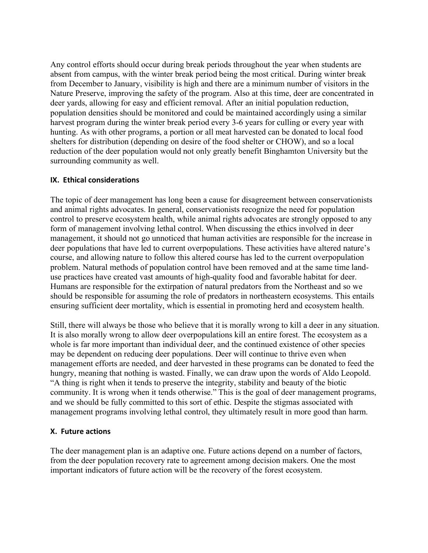Any control efforts should occur during break periods throughout the year when students are absent from campus, with the winter break period being the most critical. During winter break from December to January, visibility is high and there are a minimum number of visitors in the Nature Preserve, improving the safety of the program. Also at this time, deer are concentrated in deer yards, allowing for easy and efficient removal. After an initial population reduction, population densities should be monitored and could be maintained accordingly using a similar harvest program during the winter break period every 3-6 years for culling or every year with hunting. As with other programs, a portion or all meat harvested can be donated to local food shelters for distribution (depending on desire of the food shelter or CHOW), and so a local reduction of the deer population would not only greatly benefit Binghamton University but the surrounding community as well.

#### **IX. Ethical considerations**

The topic of deer management has long been a cause for disagreement between conservationists and animal rights advocates. In general, conservationists recognize the need for population control to preserve ecosystem health, while animal rights advocates are strongly opposed to any form of management involving lethal control. When discussing the ethics involved in deer management, it should not go unnoticed that human activities are responsible for the increase in deer populations that have led to current overpopulations. These activities have altered nature's course, and allowing nature to follow this altered course has led to the current overpopulation problem. Natural methods of population control have been removed and at the same time landuse practices have created vast amounts of high-quality food and favorable habitat for deer. Humans are responsible for the extirpation of natural predators from the Northeast and so we should be responsible for assuming the role of predators in northeastern ecosystems. This entails ensuring sufficient deer mortality, which is essential in promoting herd and ecosystem health.

Still, there will always be those who believe that it is morally wrong to kill a deer in any situation. It is also morally wrong to allow deer overpopulations kill an entire forest. The ecosystem as a whole is far more important than individual deer, and the continued existence of other species may be dependent on reducing deer populations. Deer will continue to thrive even when management efforts are needed, and deer harvested in these programs can be donated to feed the hungry, meaning that nothing is wasted. Finally, we can draw upon the words of Aldo Leopold. "A thing is right when it tends to preserve the integrity, stability and beauty of the biotic community. It is wrong when it tends otherwise." This is the goal of deer management programs, and we should be fully committed to this sort of ethic. Despite the stigmas associated with management programs involving lethal control, they ultimately result in more good than harm.

#### **X. Future actions**

The deer management plan is an adaptive one. Future actions depend on a number of factors, from the deer population recovery rate to agreement among decision makers. One the most important indicators of future action will be the recovery of the forest ecosystem.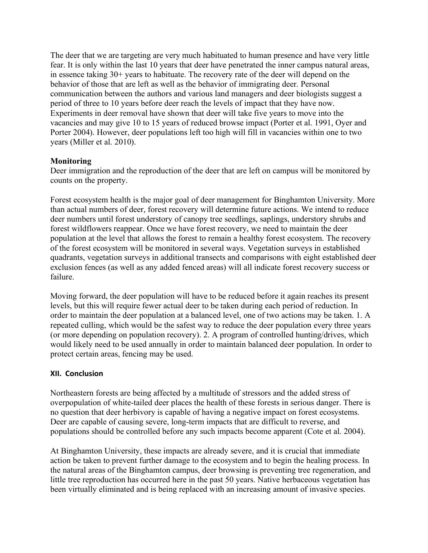The deer that we are targeting are very much habituated to human presence and have very little fear. It is only within the last 10 years that deer have penetrated the inner campus natural areas, in essence taking 30+ years to habituate. The recovery rate of the deer will depend on the behavior of those that are left as well as the behavior of immigrating deer. Personal communication between the authors and various land managers and deer biologists suggest a period of three to 10 years before deer reach the levels of impact that they have now. Experiments in deer removal have shown that deer will take five years to move into the vacancies and may give 10 to 15 years of reduced browse impact (Porter et al. 1991, Oyer and Porter 2004). However, deer populations left too high will fill in vacancies within one to two years (Miller et al. 2010).

## **Monitoring**

Deer immigration and the reproduction of the deer that are left on campus will be monitored by counts on the property.

Forest ecosystem health is the major goal of deer management for Binghamton University. More than actual numbers of deer, forest recovery will determine future actions. We intend to reduce deer numbers until forest understory of canopy tree seedlings, saplings, understory shrubs and forest wildflowers reappear. Once we have forest recovery, we need to maintain the deer population at the level that allows the forest to remain a healthy forest ecosystem. The recovery of the forest ecosystem will be monitored in several ways. Vegetation surveys in established quadrants, vegetation surveys in additional transects and comparisons with eight established deer exclusion fences (as well as any added fenced areas) will all indicate forest recovery success or failure.

Moving forward, the deer population will have to be reduced before it again reaches its present levels, but this will require fewer actual deer to be taken during each period of reduction. In order to maintain the deer population at a balanced level, one of two actions may be taken. 1. A repeated culling, which would be the safest way to reduce the deer population every three years (or more depending on population recovery). 2. A program of controlled hunting/drives, which would likely need to be used annually in order to maintain balanced deer population. In order to protect certain areas, fencing may be used.

#### **XII. Conclusion**

Northeastern forests are being affected by a multitude of stressors and the added stress of overpopulation of white-tailed deer places the health of these forests in serious danger. There is no question that deer herbivory is capable of having a negative impact on forest ecosystems. Deer are capable of causing severe, long-term impacts that are difficult to reverse, and populations should be controlled before any such impacts become apparent (Cote et al. 2004).

At Binghamton University, these impacts are already severe, and it is crucial that immediate action be taken to prevent further damage to the ecosystem and to begin the healing process. In the natural areas of the Binghamton campus, deer browsing is preventing tree regeneration, and little tree reproduction has occurred here in the past 50 years. Native herbaceous vegetation has been virtually eliminated and is being replaced with an increasing amount of invasive species.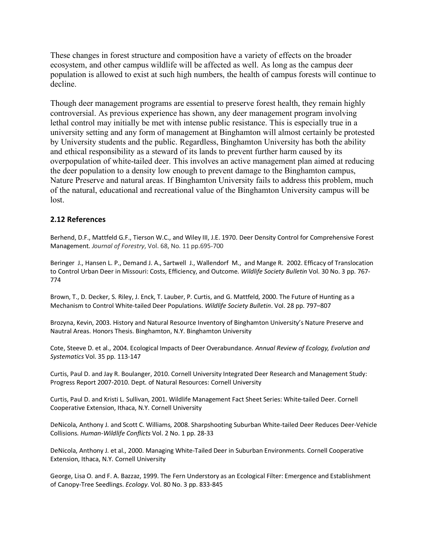These changes in forest structure and composition have a variety of effects on the broader ecosystem, and other campus wildlife will be affected as well. As long as the campus deer population is allowed to exist at such high numbers, the health of campus forests will continue to decline.

Though deer management programs are essential to preserve forest health, they remain highly controversial. As previous experience has shown, any deer management program involving lethal control may initially be met with intense public resistance. This is especially true in a university setting and any form of management at Binghamton will almost certainly be protested by University students and the public. Regardless, Binghamton University has both the ability and ethical responsibility as a steward of its lands to prevent further harm caused by its overpopulation of white-tailed deer. This involves an active management plan aimed at reducing the deer population to a density low enough to prevent damage to the Binghamton campus, Nature Preserve and natural areas. If Binghamton University fails to address this problem, much of the natural, educational and recreational value of the Binghamton University campus will be lost.

#### **2.12 References**

Berhend, D.F., Mattfeld G.F., Tierson W.C., and Wiley III, J.E. 1970. Deer Density Control for Comprehensive Forest Management. *Journal of Forestry*, Vol. 68, No. 11 pp.695-700

Beringer J., Hansen L. P., Demand J. A., Sartwell J., Wallendorf M., and Mange R. 2002. Efficacy of Translocation to Control Urban Deer in Missouri: Costs, Efficiency, and Outcome. *Wildlife Society Bulletin* Vol. 30 No. 3 pp. 767- 774

Brown, T., D. Decker, S. Riley, J. Enck, T. Lauber, P. Curtis, and G. Mattfeld, 2000. The Future of Hunting as a Mechanism to Control White-tailed Deer Populations. *Wildlife Society Bulletin*. Vol. 28 pp. 797–807

Brozyna, Kevin, 2003. History and Natural Resource Inventory of Binghamton University's Nature Preserve and Nautral Areas. Honors Thesis. Binghamton, N.Y. Binghamton University

Cote, Steeve D. et al., 2004. Ecological Impacts of Deer Overabundance*. Annual Review of Ecology, Evolution and Systematics* Vol. 35 pp. 113-147

Curtis, Paul D. and Jay R. Boulanger, 2010. Cornell University Integrated Deer Research and Management Study: Progress Report 2007-2010. Dept. of Natural Resources: Cornell University

Curtis, Paul D. and Kristi L. Sullivan, 2001. Wildlife Management Fact Sheet Series: White-tailed Deer. Cornell Cooperative Extension, Ithaca, N.Y. Cornell University

DeNicola, Anthony J. and Scott C. Williams, 2008. Sharpshooting Suburban White-tailed Deer Reduces Deer-Vehicle Collisions. *Human-Wildlife Conflicts* Vol. 2 No. 1 pp. 28-33

DeNicola, Anthony J. et al., 2000. Managing White-Tailed Deer in Suburban Environments. Cornell Cooperative Extension, Ithaca, N.Y. Cornell University

George, Lisa O. and F. A. Bazzaz, 1999. The Fern Understory as an Ecological Filter: Emergence and Establishment of Canopy-Tree Seedlings. *Ecology*. Vol. 80 No. 3 pp. 833-845